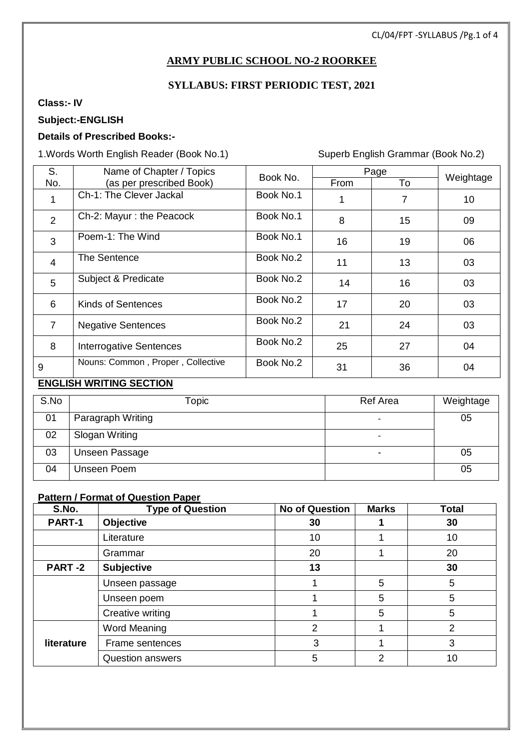#### CL/04/FPT -SYLLABUS /Pg.1 of 4

### **ARMY PUBLIC SCHOOL NO-2 ROORKEE**

### **SYLLABUS: FIRST PERIODIC TEST, 2021**

### **Class:- IV**

 $\overline{a}$ 

### **Subject:-ENGLISH**

#### **Details of Prescribed Books:-**

1.Words Worth English Reader (Book No.1) Superb English Grammar (Book No.2)

| S.             | Name of Chapter / Topics          | Book No.  |      | Page | Weightage |
|----------------|-----------------------------------|-----------|------|------|-----------|
| No.            | (as per prescribed Book)          |           | From | To   |           |
| 1              | Ch-1: The Clever Jackal           | Book No.1 |      | 7    | 10        |
| $\overline{2}$ | Ch-2: Mayur : the Peacock         | Book No.1 | 8    | 15   | 09        |
| 3              | Poem-1: The Wind                  | Book No.1 | 16   | 19   | 06        |
| $\overline{4}$ | The Sentence                      | Book No.2 | 11   | 13   | 03        |
| 5              | Subject & Predicate               | Book No.2 | 14   | 16   | 03        |
| 6              | <b>Kinds of Sentences</b>         | Book No.2 | 17   | 20   | 03        |
| $\overline{7}$ | <b>Negative Sentences</b>         | Book No.2 | 21   | 24   | 03        |
| 8              | Interrogative Sentences           | Book No.2 | 25   | 27   | 04        |
| 9              | Nouns: Common, Proper, Collective | Book No.2 | 31   | 36   | 04        |

#### **ENGLISH WRITING SECTION**

| S.No | Topic             | Ref Area                 | Weightage |
|------|-------------------|--------------------------|-----------|
| 01   | Paragraph Writing | $\overline{\phantom{0}}$ | 05        |
| 02   | Slogan Writing    | $\overline{\phantom{0}}$ |           |
| 03   | Unseen Passage    |                          | 05        |
| 04   | Unseen Poem       |                          | 05        |

### **Pattern / Format of Question Paper**

| S.No.         | <b>Type of Question</b> | <b>No of Question</b> | <b>Marks</b> | <b>Total</b>  |
|---------------|-------------------------|-----------------------|--------------|---------------|
| PART-1        | <b>Objective</b>        | 30                    |              | 30            |
|               | Literature              | 10                    |              | 10            |
|               | Grammar                 | 20                    |              | 20            |
| <b>PART-2</b> | <b>Subjective</b>       | 13                    |              | 30            |
|               | Unseen passage          |                       | 5            | 5             |
|               | Unseen poem             |                       | 5            | 5             |
|               | Creative writing        |                       | 5            | 5             |
|               | Word Meaning            | 2                     |              | $\mathcal{P}$ |
| literature    | Frame sentences         | 3                     |              | 3             |
|               | <b>Question answers</b> | 5                     | 2            | 10            |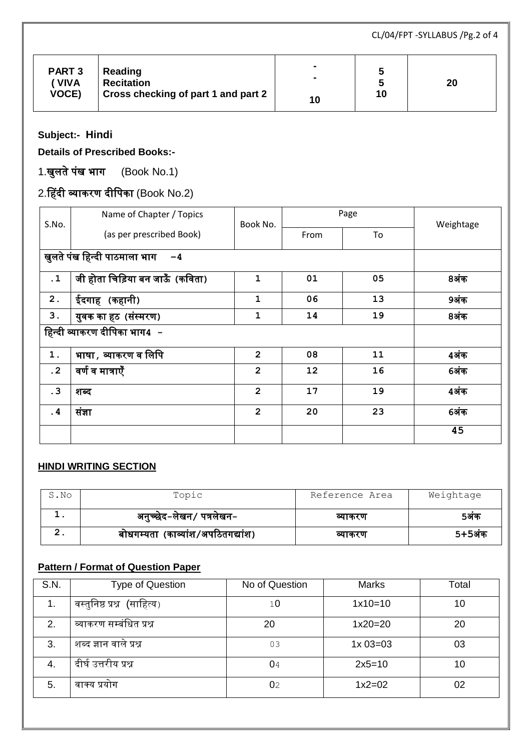CL/04/FPT -SYLLABUS /Pg.2 of 4

| <b>PART 3</b><br>Reading<br><b>Recitation</b><br>' VIVA<br><b>VOCE)</b><br>Cross checking of part 1 and part 2 | $\blacksquare$<br>$\overline{\phantom{a}}$<br>10 | ۰,<br>г,<br>10 | 20 |
|----------------------------------------------------------------------------------------------------------------|--------------------------------------------------|----------------|----|
|----------------------------------------------------------------------------------------------------------------|--------------------------------------------------|----------------|----|

**Subject:- Hindi**

 $\overline{a}$ 

**Details of Prescribed Books:-**

1.खुलते पंख भाग (Book No.1)

# 2.हहदी व्याकरण दीपपका (Book No.2)

| S.No.                        | Name of Chapter / Topics        | Book No.       |      | Page | Weightage |  |  |
|------------------------------|---------------------------------|----------------|------|------|-----------|--|--|
|                              | (as per prescribed Book)        |                | From | To   |           |  |  |
|                              | खुलते पंख हिन्दी पाठमाला भाग 4  |                |      |      |           |  |  |
| $\cdot$ 1                    | जी होता चिड़िया बन जाऊँ (कविता) | 1              | 01   | 05   | 8अंक      |  |  |
| 2.                           | ईदगाह (कहानी)                   | 1              | 06   | 13   | 9अंक      |  |  |
| 3.                           | युवक का हठ (संस्मरण)            | 1              | 14   | 19   | 8अंक      |  |  |
| हिन्दी व्याकरण दीपिका भाग4 - |                                 |                |      |      |           |  |  |
| 1.                           | भाषा , व्याकरण व लिपि           | $\overline{2}$ | 08   | 11   | 4अंक      |  |  |
| $\cdot$ 2                    | वर्ण व मात्राएँ                 | $\overline{2}$ | 12   | 16   | 6अंक      |  |  |
| .3                           | शब्द                            | $\overline{2}$ | 17   | 19   | 4अंक      |  |  |
| $\cdot$ 4                    | संज्ञा                          | $\overline{2}$ | 20   | 23   | 6अंक      |  |  |
|                              |                                 |                |      |      | 45        |  |  |

### **HINDI WRITING SECTION**

| S.No | Topic                             | Reference Area | Weightage |
|------|-----------------------------------|----------------|-----------|
|      | अनुच्छेद-लेखन/ पत्रलेखन-          | व्याकरण        | 5अक       |
|      | बोधगम्यता (काव्यांश/अपठितगद्यांश) | व्याकरण        | 5+5अंक    |

### **Pattern / Format of Question Paper**

| S.N. | <b>Type of Question</b>     | No of Question | <b>Marks</b> | Total |
|------|-----------------------------|----------------|--------------|-------|
| 1.   | वस्तुनिष्ठ प्रश्न (साहित्य) | 10             | $1x10=10$    | 10    |
| 2.   | व्याकरण सम्बंधित प्रश्न     | 20             | $1x20=20$    | 20    |
| 3.   | शब्द ज्ञान वाले प्रश्न      | 03             | $1x03=03$    | 03    |
| 4.   | दीर्घ उत्तरीय प्रश्न        | 04             | $2x5=10$     | 10    |
| 5.   | वाक्य प्रयोग                | 02             | $1x2=02$     | 02    |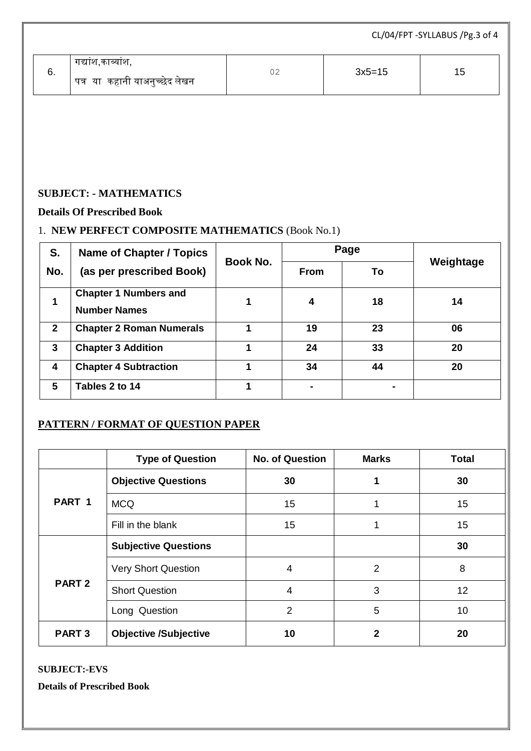| $3x5=15$<br>02<br>15<br>ხ.<br>पत्र या कहानी याअनुच्छेद लेखन |  | गद्याश,काव्याश, |  |
|-------------------------------------------------------------|--|-----------------|--|

### **SUBJECT: - MATHEMATICS**

### **Details Of Prescribed Book**

 $\overline{a}$ 

### 1. **NEW PERFECT COMPOSITE MATHEMATICS** (Book No.1)

| S.           | <b>Name of Chapter / Topics</b>                     | <b>Book No.</b> |             | Page |           |
|--------------|-----------------------------------------------------|-----------------|-------------|------|-----------|
| No.          | (as per prescribed Book)                            |                 | <b>From</b> | To   | Weightage |
| 1            | <b>Chapter 1 Numbers and</b><br><b>Number Names</b> |                 | 4           | 18   | 14        |
| $\mathbf{2}$ | <b>Chapter 2 Roman Numerals</b>                     |                 | 19          | 23   | 06        |
| 3            | <b>Chapter 3 Addition</b>                           |                 | 24          | 33   | 20        |
| 4            | <b>Chapter 4 Subtraction</b>                        |                 | 34          | 44   | 20        |
| 5            | Tables 2 to 14                                      |                 |             |      |           |

### **PATTERN / FORMAT OF QUESTION PAPER**

|                   | <b>Type of Question</b>      | <b>No. of Question</b> | <b>Marks</b>   | <b>Total</b> |
|-------------------|------------------------------|------------------------|----------------|--------------|
| PART 1            | <b>Objective Questions</b>   | 30                     |                | 30           |
|                   | <b>MCQ</b>                   | 15                     | 1              | 15           |
|                   | Fill in the blank            | 15                     |                | 15           |
| PART <sub>2</sub> | <b>Subjective Questions</b>  |                        |                | 30           |
|                   | <b>Very Short Question</b>   | 4                      | $\overline{2}$ | 8            |
|                   | <b>Short Question</b>        | 4                      | 3              | 12           |
|                   | Long Question                | 2                      | 5              | 10           |
| PART <sub>3</sub> | <b>Objective /Subjective</b> | 10                     | $\mathbf{2}$   | 20           |

#### **SUBJECT:-EVS**

**Details of Prescribed Book**